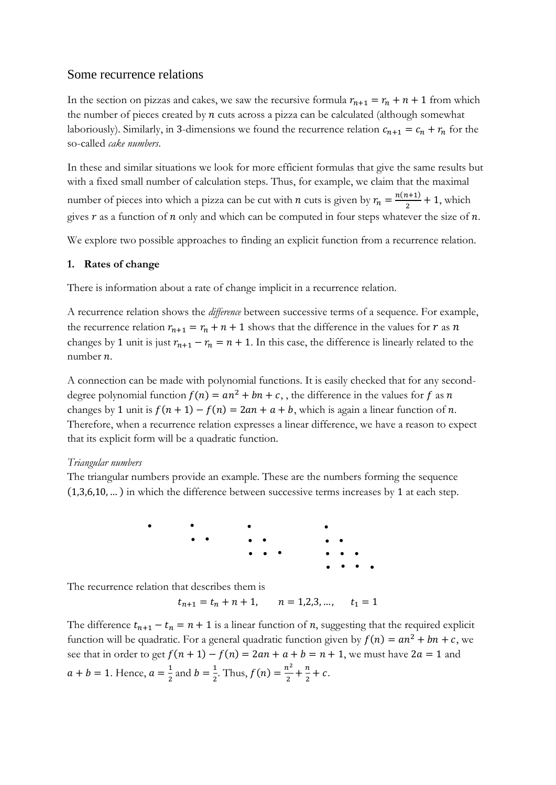# Some recurrence relations

In the section on pizzas and cakes, we saw the recursive formula  $r_{n+1} = r_n + n + 1$  from which the number of pieces created by  $n$  cuts across a pizza can be calculated (although somewhat laboriously). Similarly, in 3-dimensions we found the recurrence relation  $c_{n+1} = c_n + r_n$  for the so-called *cake numbers*.

In these and similar situations we look for more efficient formulas that give the same results but with a fixed small number of calculation steps. Thus, for example, we claim that the maximal number of pieces into which a pizza can be cut with *n* cuts is given by  $r_n = \frac{n(n+1)}{2}$  $\frac{l+1}{2}$  + 1, which gives  $r$  as a function of  $n$  only and which can be computed in four steps whatever the size of  $n$ .

We explore two possible approaches to finding an explicit function from a recurrence relation.

## **1. Rates of change**

There is information about a rate of change implicit in a recurrence relation.

A recurrence relation shows the *difference* between successive terms of a sequence. For example, the recurrence relation  $r_{n+1} = r_n + n + 1$  shows that the difference in the values for  $r$  as  $n$ changes by 1 unit is just  $r_{n+1} - r_n = n + 1$ . In this case, the difference is linearly related to the number  $n$ .

A connection can be made with polynomial functions. It is easily checked that for any seconddegree polynomial function  $f(n) = an^2 + bn + c$ , the difference in the values for f as n changes by 1 unit is  $f(n + 1) - f(n) = 2an + a + b$ , which is again a linear function of n. Therefore, when a recurrence relation expresses a linear difference, we have a reason to expect that its explicit form will be a quadratic function.

## *Triangular numbers*

The triangular numbers provide an example. These are the numbers forming the sequence (1,3,6,10, … ) in which the difference between successive terms increases by 1 at each step.

> • • • • • • • • • • • • • • • • • • • •

The recurrence relation that describes them is

$$
t_{n+1} = t_n + n + 1
$$
,  $n = 1, 2, 3, ..., t_1 = 1$ 

The difference  $t_{n+1} - t_n = n + 1$  is a linear function of *n*, suggesting that the required explicit function will be quadratic. For a general quadratic function given by  $f(n) = an^2 + bn + c$ , we see that in order to get  $f(n + 1) - f(n) = 2an + a + b = n + 1$ , we must have  $2a = 1$  and  $a + b = 1$ . Hence,  $a = \frac{1}{2}$  $\frac{1}{2}$  and  $b = \frac{1}{2}$  $\frac{1}{2}$ . Thus,  $f(n) = \frac{n^2}{2}$  $\frac{n^2}{2} + \frac{n}{2}$  $\frac{n}{2} + c$ .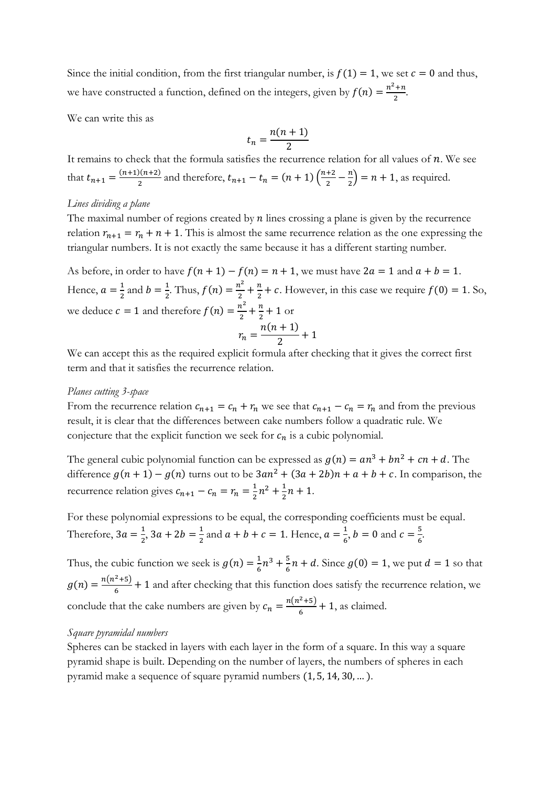Since the initial condition, from the first triangular number, is  $f(1) = 1$ , we set  $c = 0$  and thus, we have constructed a function, defined on the integers, given by  $f(n) = \frac{n^2 + n}{2}$  $rac{\tau}{2}$ .

We can write this as

$$
t_n = \frac{n(n+1)}{2}
$$

It remains to check that the formula satisfies the recurrence relation for all values of  $n$ . We see that  $t_{n+1} = \frac{(n+1)(n+2)}{2}$  $\frac{2(n+2)}{2}$  and therefore,  $t_{n+1} - t_n = (n+1) \left(\frac{n+2}{2}\right)$  $\frac{+2}{2} - \frac{n}{2}$  $\binom{n}{2}$  = n + 1, as required.

## *Lines dividing a plane*

The maximal number of regions created by  $n$  lines crossing a plane is given by the recurrence relation  $r_{n+1} = r_n + n + 1$ . This is almost the same recurrence relation as the one expressing the triangular numbers. It is not exactly the same because it has a different starting number.

As before, in order to have  $f(n + 1) - f(n) = n + 1$ , we must have  $2a = 1$  and  $a + b = 1$ . Hence,  $a = \frac{1}{2}$  $\frac{1}{2}$  and  $b = \frac{1}{2}$  $\frac{1}{2}$ . Thus,  $f(n) = \frac{n^2}{2}$  $\frac{i^2}{2} + \frac{n}{2}$  $\frac{n}{2}$  + c. However, in this case we require  $f(0) = 1$ . So, we deduce  $c = 1$  and therefore  $f(n) = \frac{n^2}{2}$  $\frac{i^2}{2} + \frac{n}{2}$  $\frac{n}{2}$  + 1 or  $r_n =$  $n(n + 1)$  $\frac{1}{2}$  + 1

We can accept this as the required explicit formula after checking that it gives the correct first term and that it satisfies the recurrence relation.

### *Planes cutting 3-space*

From the recurrence relation  $c_{n+1} = c_n + r_n$  we see that  $c_{n+1} - c_n = r_n$  and from the previous result, it is clear that the differences between cake numbers follow a quadratic rule. We conjecture that the explicit function we seek for  $c_n$  is a cubic polynomial.

The general cubic polynomial function can be expressed as  $g(n) = an^3 + bn^2 + cn + d$ . The difference  $g(n + 1) - g(n)$  turns out to be  $3an^2 + (3a + 2b)n + a + b + c$ . In comparison, the recurrence relation gives  $c_{n+1} - c_n = r_n = \frac{1}{2}$  $\frac{1}{2}n^2 + \frac{1}{2}$  $\frac{1}{2}n + 1.$ 

For these polynomial expressions to be equal, the corresponding coefficients must be equal. Therefore,  $3a = \frac{1}{2}$  $\frac{1}{2}$ , 3a + 2b =  $\frac{1}{2}$  $\frac{1}{2}$  and  $a + b + c = 1$ . Hence,  $a = \frac{1}{6}$  $\frac{1}{6}$ ,  $b = 0$  and  $c = \frac{5}{6}$ 6 .

Thus, the cubic function we seek is  $g(n) = \frac{1}{6}$  $rac{1}{6}n^3 + \frac{5}{6}$  $\frac{5}{6}n + d$ . Since  $g(0) = 1$ , we put  $d = 1$  so that  $g(n) = \frac{n(n^2+5)}{6}$  $\frac{(-+3)}{6}$  + 1 and after checking that this function does satisfy the recurrence relation, we conclude that the cake numbers are given by  $c_n = \frac{n(n^2+5)}{6}$  $\frac{(-+3)}{6}$  + 1, as claimed.

#### *Square pyramidal numbers*

Spheres can be stacked in layers with each layer in the form of a square. In this way a square pyramid shape is built. Depending on the number of layers, the numbers of spheres in each pyramid make a sequence of square pyramid numbers (1, 5, 14, 30, … ).